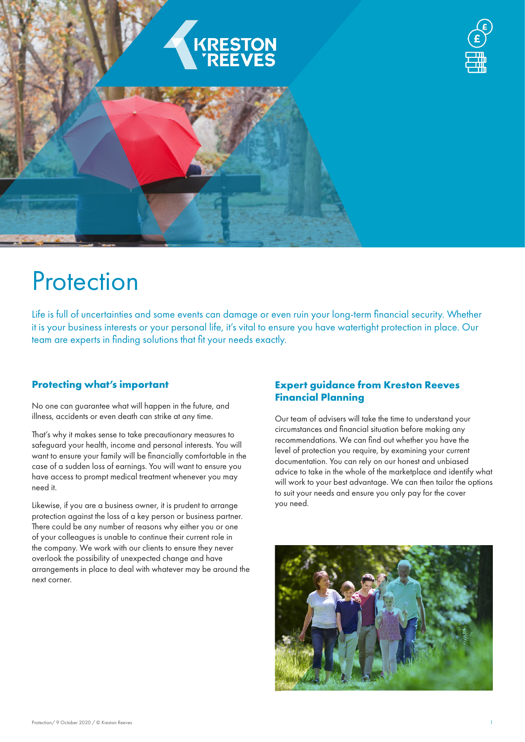

# **Protection**

Life is full of uncertainties and some events can damage or even ruin your long-term financial security. Whether it is your business interests or your personal life, it's vital to ensure you have watertight protection in place. Our team are experts in finding solutions that fit your needs exactly.

## **Protecting what's important**

No one can guarantee what will happen in the future, and illness, accidents or even death can strike at any time.

That's why it makes sense to take precautionary measures to safeguard your health, income and personal interests. You will want to ensure your family will be financially comfortable in the case of a sudden loss of earnings. You will want to ensure you have access to prompt medical treatment whenever you may need it.

Likewise, if you are a business owner, it is prudent to arrange protection against the loss of a key person or business partner. There could be any number of reasons why either you or one of your colleagues is unable to continue their current role in the company. We work with our clients to ensure they never overlook the possibility of unexpected change and have arrangements in place to deal with whatever may be around the next corner.

## **Expert guidance from Kreston Reeves Financial Planning**

Our team of advisers will take the time to understand your circumstances and financial situation before making any recommendations. We can find out whether you have the level of protection you require, by examining your current documentation. You can rely on our honest and unbiased advice to take in the whole of the marketplace and identify what will work to your best advantage. We can then tailor the options to suit your needs and ensure you only pay for the cover you need.